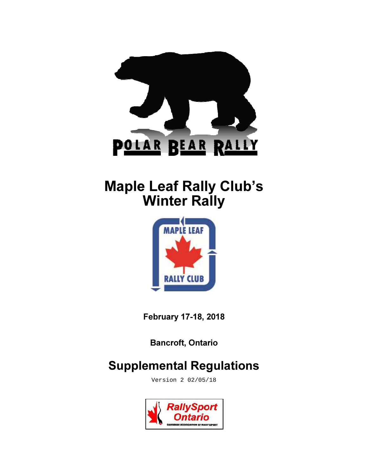

# Maple Leaf Rally Club's **Winter Rally**



February 17-18, 2018

Bancroft, Ontario

## Supplemental Regulations

Version 2 02/05/18

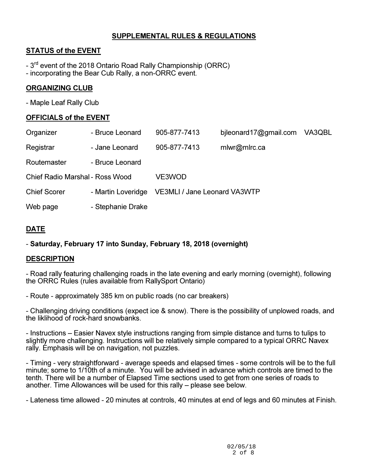## SUPPLEMENTAL RULES & REGULATIONS

## STATUS of the EVENT

- $-3<sup>rd</sup>$  event of the 2018 Ontario Road Rally Championship (ORRC)
- incorporating the Bear Cub Rally, a non-ORRC event.

## ORGANIZING CLUB

- Maple Leaf Rally Club

## OFFICIALS of the EVENT

| Organizer                       | - Bruce Leonard    | 905-877-7413                        | bileonard17@gmail.com | VA3QBL |
|---------------------------------|--------------------|-------------------------------------|-----------------------|--------|
| Registrar                       | - Jane Leonard     | 905-877-7413                        | mlwr@mlrc.ca          |        |
| Routemaster                     | - Bruce Leonard    |                                     |                       |        |
| Chief Radio Marshal - Ross Wood |                    | VE3WOD                              |                       |        |
| <b>Chief Scorer</b>             | - Martin Loveridge | <b>VE3MLI / Jane Leonard VA3WTP</b> |                       |        |
| Web page                        | - Stephanie Drake  |                                     |                       |        |
|                                 |                    |                                     |                       |        |

## DATE

## - Saturday, February 17 into Sunday, February 18, 2018 (overnight)

## **DESCRIPTION**

- Road rally featuring challenging roads in the late evening and early morning (overnight), following the ORRC Rules (rules available from RallySport Ontario)

- Route - approximately 385 km on public roads (no car breakers)

- Challenging driving conditions (expect ice & snow). There is the possibility of unplowed roads, and the liklihood of rock-hard snowbanks.

- Instructions – Easier Navex style instructions ranging from simple distance and turns to tulips to slightly more challenging. Instructions will be relatively simple compared to a typical ORRC Navex rally. Emphasis will be on navigation, not puzzles.

- Timing - very straightforward - average speeds and elapsed times - some controls will be to the full minute; some to 1/10th of a minute. You will be advised in advance which controls are timed to the tenth. There will be a number of Elapsed Time sections used to get from one series of roads to another. Time Allowances will be used for this rally – please see below.

- Lateness time allowed - 20 minutes at controls, 40 minutes at end of legs and 60 minutes at Finish.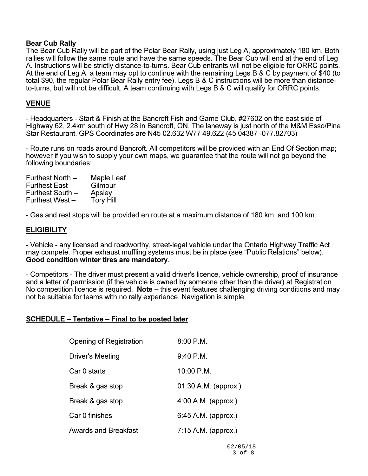#### Bear Cub Rally

The Bear Cub Rally will be part of the Polar Bear Rally, using just Leg A, approximately 180 km. Both rallies will follow the same route and have the same speeds. The Bear Cub will end at the end of Leg A. Instructions will be strictly distance-to-turns. Bear Cub entrants will not be eligible for ORRC points. At the end of Leg A, a team may opt to continue with the remaining Legs B & C by payment of \$40 (to total \$90, the regular Polar Bear Rally entry fee). Legs B & C instructions will be more than distanceto-turns, but will not be difficult. A team continuing with Legs B & C will qualify for ORRC points.

#### VENUE

- Headquarters - Start & Finish at the Bancroft Fish and Game Club, #27602 on the east side of Highway 62, 2.4km south of Hwy 28 in Bancroft, ON. The laneway is just north of the M&M Esso/Pine Star Restaurant. GPS Coordinates are N45 02.632 W77 49.622 (45.04387 -077.82703)

- Route runs on roads around Bancroft. All competitors will be provided with an End Of Section map; however if you wish to supply your own maps, we guarantee that the route will not go beyond the following boundaries:

| Maple Leaf       |
|------------------|
| Gilmour          |
| Apsley           |
| <b>Tory Hill</b> |
|                  |

- Gas and rest stops will be provided en route at a maximum distance of 180 km. and 100 km.

#### **ELIGIBILITY**

- Vehicle - any licensed and roadworthy, street-legal vehicle under the Ontario Highway Traffic Act may compete. Proper exhaust muffling systems must be in place (see "Public Relations" below). Good condition winter tires are mandatory.

- Competitors - The driver must present a valid driver's licence, vehicle ownership, proof of insurance and a letter of permission (if the vehicle is owned by someone other than the driver) at Registration. No competition licence is required. Note – this event features challenging driving conditions and may not be suitable for teams with no rally experience. Navigation is simple.

#### SCHEDULE – Tentative – Final to be posted later

| Opening of Registration     | $8:00$ P.M.           |
|-----------------------------|-----------------------|
| Driver's Meeting            | $9:40$ P.M.           |
| Car 0 starts                | 10:00 P.M.            |
| Break & gas stop            | 01:30 A.M. (approx.)  |
| Break & gas stop            | $4:00$ A.M. (approx.) |
| Car 0 finishes              | $6:45$ A.M. (approx.) |
| <b>Awards and Breakfast</b> | 7:15 A.M. (approx.)   |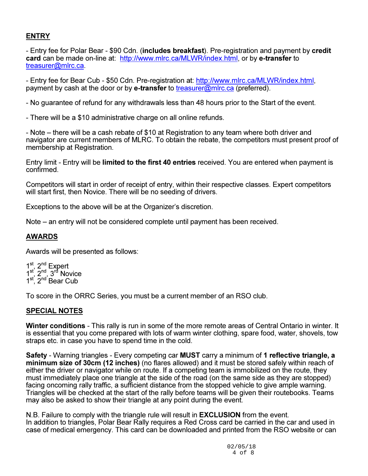## **ENTRY**

- Entry fee for Polar Bear - \$90 Cdn. (includes breakfast). Pre-registration and payment by credit card can be made on-line at: http://www.mlrc.ca/MLWR/index.html, or by e-transfer to treasurer@mlrc.ca.

- Entry fee for Bear Cub - \$50 Cdn. Pre-registration at: http://www.mlrc.ca/MLWR/index.html, payment by cash at the door or by **e-transfer** to treasurer@mlrc.ca (preferred).

- No guarantee of refund for any withdrawals less than 48 hours prior to the Start of the event.

- There will be a \$10 administrative charge on all online refunds.

- Note – there will be a cash rebate of \$10 at Registration to any team where both driver and navigator are current members of MLRC. To obtain the rebate, the competitors must present proof of membership at Registration.

Entry limit - Entry will be limited to the first 40 entries received. You are entered when payment is confirmed.

Competitors will start in order of receipt of entry, within their respective classes. Expert competitors will start first, then Novice. There will be no seeding of drivers.

Exceptions to the above will be at the Organizer's discretion.

Note – an entry will not be considered complete until payment has been received.

#### AWARDS

Awards will be presented as follows:

 $1<sup>st</sup>$ ,  $2<sup>nd</sup>$  Expert  $1^{st}$ ,  $2^{nd}$ ,  $3^{rd}$  Novice 1<sup>st</sup>, 2<sup>nd</sup> Bear Cub

To score in the ORRC Series, you must be a current member of an RSO club.

#### SPECIAL NOTES

Winter conditions - This rally is run in some of the more remote areas of Central Ontario in winter. It is essential that you come prepared with lots of warm winter clothing, spare food, water, shovels, tow straps etc. in case you have to spend time in the cold.

Safety - Warning triangles - Every competing car MUST carry a minimum of 1 reflective triangle, a minimum size of 30cm (12 inches) (no flares allowed) and it must be stored safely within reach of either the driver or navigator while on route. If a competing team is immobilized on the route, they must immediately place one triangle at the side of the road (on the same side as they are stopped) facing oncoming rally traffic, a sufficient distance from the stopped vehicle to give ample warning. Triangles will be checked at the start of the rally before teams will be given their routebooks. Teams may also be asked to show their triangle at any point during the event.

N.B. Failure to comply with the triangle rule will result in EXCLUSION from the event. In addition to triangles, Polar Bear Rally requires a Red Cross card be carried in the car and used in case of medical emergency. This card can be downloaded and printed from the RSO website or can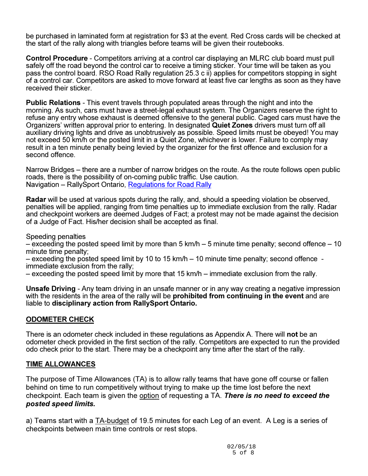be purchased in laminated form at registration for \$3 at the event. Red Cross cards will be checked at the start of the rally along with triangles before teams will be given their routebooks.

Control Procedure - Competitors arriving at a control car displaying an MLRC club board must pull safely off the road beyond the control car to receive a timing sticker. Your time will be taken as you pass the control board. RSO Road Rally regulation 25.3 c ii) applies for competitors stopping in sight of a control car. Competitors are asked to move forward at least five car lengths as soon as they have received their sticker.

Public Relations - This event travels through populated areas through the night and into the morning. As such, cars must have a street-legal exhaust system. The Organizers reserve the right to refuse any entry whose exhaust is deemed offensive to the general public. Caged cars must have the Organizers' written approval prior to entering. In designated Quiet Zones drivers must turn off all auxiliary driving lights and drive as unobtrusively as possible. Speed limits must be obeyed! You may not exceed 50 km/h or the posted limit in a Quiet Zone, whichever is lower. Failure to comply may result in a ten minute penalty being levied by the organizer for the first offence and exclusion for a second offence.

Narrow Bridges – there are a number of narrow bridges on the route. As the route follows open public roads, there is the possibility of on-coming public traffic. Use caution. Navigation – RallySport Ontario, Regulations for Road Rally

Radar will be used at various spots during the rally, and, should a speeding violation be observed, penalties will be applied, ranging from time penalties up to immediate exclusion from the rally. Radar and checkpoint workers are deemed Judges of Fact; a protest may not be made against the decision of a Judge of Fact. His/her decision shall be accepted as final.

Speeding penalties

– exceeding the posted speed limit by more than 5 km/h – 5 minute time penalty; second offence – 10 minute time penalty;

– exceeding the posted speed limit by 10 to 15 km/h – 10 minute time penalty; second offence immediate exclusion from the rally;

– exceeding the posted speed limit by more that 15 km/h – immediate exclusion from the rally.

Unsafe Driving - Any team driving in an unsafe manner or in any way creating a negative impression with the residents in the area of the rally will be **prohibited from continuing in the event** and are liable to disciplinary action from RallySport Ontario.

#### ODOMETER CHECK

There is an odometer check included in these regulations as Appendix A. There will not be an odometer check provided in the first section of the rally. Competitors are expected to run the provided odo check prior to the start. There may be a checkpoint any time after the start of the rally.

#### TIME ALLOWANCES

The purpose of Time Allowances (TA) is to allow rally teams that have gone off course or fallen behind on time to run competitively without trying to make up the time lost before the next checkpoint. Each team is given the option of requesting a TA. There is no need to exceed the posted speed limits.

a) Teams start with a **TA-budget of 19.5 minutes for each Leg of an event.** A Leg is a series of checkpoints between main time controls or rest stops.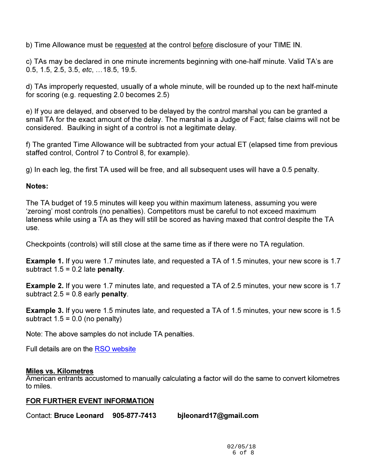b) Time Allowance must be requested at the control before disclosure of your TIME IN.

c) TAs may be declared in one minute increments beginning with one-half minute. Valid TA's are 0.5, 1.5, 2.5, 3.5, etc, ... 18.5, 19.5.

d) TAs improperly requested, usually of a whole minute, will be rounded up to the next half-minute for scoring (e.g. requesting 2.0 becomes 2.5)

e) If you are delayed, and observed to be delayed by the control marshal you can be granted a small TA for the exact amount of the delay. The marshal is a Judge of Fact; false claims will not be considered. Baulking in sight of a control is not a legitimate delay.

f) The granted Time Allowance will be subtracted from your actual ET (elapsed time from previous staffed control, Control 7 to Control 8, for example).

g) In each leg, the first TA used will be free, and all subsequent uses will have a 0.5 penalty.

## Notes:

The TA budget of 19.5 minutes will keep you within maximum lateness, assuming you were 'zeroing' most controls (no penalties). Competitors must be careful to not exceed maximum lateness while using a TA as they will still be scored as having maxed that control despite the TA use.

Checkpoints (controls) will still close at the same time as if there were no TA regulation.

Example 1. If you were 1.7 minutes late, and requested a TA of 1.5 minutes, your new score is 1.7 subtract  $1.5 = 0.2$  late penalty.

Example 2. If you were 1.7 minutes late, and requested a TA of 2.5 minutes, your new score is 1.7 subtract  $2.5 = 0.8$  early penalty.

Example 3. If you were 1.5 minutes late, and requested a TA of 1.5 minutes, your new score is 1.5 subtract  $1.5 = 0.0$  (no penalty)

Note: The above samples do not include TA penalties.

Full details are on the RSO website

## Miles vs. Kilometres

American entrants accustomed to manually calculating a factor will do the same to convert kilometres to miles.

## FOR FURTHER EVENT INFORMATION

Contact: Bruce Leonard 905-877-7413 bjleonard17@gmail.com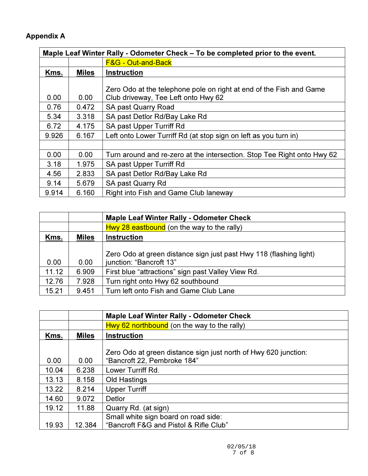## Appendix A

| Maple Leaf Winter Rally - Odometer Check – To be completed prior to the event. |              |                                                                                                            |  |
|--------------------------------------------------------------------------------|--------------|------------------------------------------------------------------------------------------------------------|--|
|                                                                                |              | <b>F&amp;G - Out-and-Back</b>                                                                              |  |
| Kms.                                                                           | <b>Miles</b> | <b>Instruction</b>                                                                                         |  |
| 0.00                                                                           | 0.00         | Zero Odo at the telephone pole on right at end of the Fish and Game<br>Club driveway, Tee Left onto Hwy 62 |  |
| 0.76                                                                           | 0.472        | <b>SA past Quarry Road</b>                                                                                 |  |
| 5.34                                                                           | 3.318        | SA past Detlor Rd/Bay Lake Rd                                                                              |  |
| 6.72                                                                           | 4.175        | SA past Upper Turriff Rd                                                                                   |  |
| 9.926                                                                          | 6.167        | Left onto Lower Turriff Rd (at stop sign on left as you turn in)                                           |  |
|                                                                                |              |                                                                                                            |  |
| 0.00                                                                           | 0.00         | Turn around and re-zero at the intersection. Stop Tee Right onto Hwy 62                                    |  |
| 3.18                                                                           | 1.975        | SA past Upper Turriff Rd                                                                                   |  |
| 4.56                                                                           | 2.833        | SA past Detlor Rd/Bay Lake Rd                                                                              |  |
| 9.14                                                                           | 5.679        | SA past Quarry Rd                                                                                          |  |
| 9.914                                                                          | 6.160        | Right into Fish and Game Club laneway                                                                      |  |

|       |              | <b>Maple Leaf Winter Rally - Odometer Check</b>                                               |  |  |
|-------|--------------|-----------------------------------------------------------------------------------------------|--|--|
|       |              | $Hwy 28$ eastbound (on the way to the rally)                                                  |  |  |
| Kms.  | <b>Miles</b> | <b>Instruction</b>                                                                            |  |  |
| 0.00  | 0.00         | Zero Odo at green distance sign just past Hwy 118 (flashing light)<br>junction: "Bancroft 13" |  |  |
| 11.12 | 6.909        | First blue "attractions" sign past Valley View Rd.                                            |  |  |
| 12.76 | 7.928        | Turn right onto Hwy 62 southbound                                                             |  |  |
| 15.21 | 9.451        | Turn left onto Fish and Game Club Lane                                                        |  |  |

|       |              | <b>Maple Leaf Winter Rally - Odometer Check</b>                 |  |  |
|-------|--------------|-----------------------------------------------------------------|--|--|
|       |              | Hwy 62 northbound (on the way to the rally)                     |  |  |
| Kms.  | <b>Miles</b> | <b>Instruction</b>                                              |  |  |
|       |              |                                                                 |  |  |
|       |              | Zero Odo at green distance sign just north of Hwy 620 junction: |  |  |
| 0.00  | 0.00         | "Bancroft 22, Pembroke 184"                                     |  |  |
| 10.04 | 6.238        | Lower Turriff Rd.                                               |  |  |
| 13.13 | 8.158        | Old Hastings                                                    |  |  |
| 13.22 | 8.214        | <b>Upper Turriff</b>                                            |  |  |
| 14.60 | 9.072        | Detlor                                                          |  |  |
| 19.12 | 11.88        | Quarry Rd. (at sign)                                            |  |  |
|       |              | Small white sign board on road side:                            |  |  |
| 19.93 | 12.384       | "Bancroft F&G and Pistol & Rifle Club"                          |  |  |